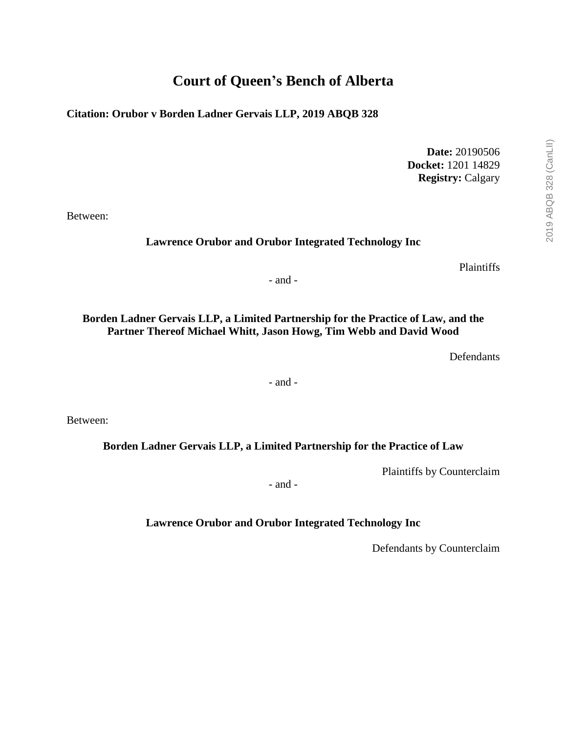# **Court of Queen's Bench of Alberta**

**Citation: Orubor v Borden Ladner Gervais LLP, 2019 ABQB 328**

**Date:** 20190506 **Docket:** 1201 14829 **Registry:** Calgary

Between:

#### **Lawrence Orubor and Orubor Integrated Technology Inc**

Plaintiffs

- and -

### **Borden Ladner Gervais LLP, a Limited Partnership for the Practice of Law, and the Partner Thereof Michael Whitt, Jason Howg, Tim Webb and David Wood**

Defendants

- and -

Between:

### **Borden Ladner Gervais LLP, a Limited Partnership for the Practice of Law**

Plaintiffs by Counterclaim

- and -

### **Lawrence Orubor and Orubor Integrated Technology Inc**

Defendants by Counterclaim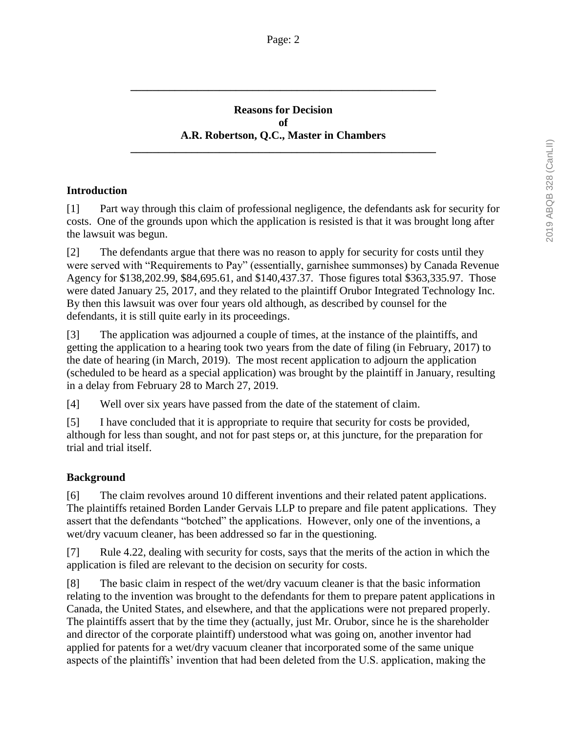### **Reasons for Decision of A.R. Robertson, Q.C., Master in Chambers**

**\_\_\_\_\_\_\_\_\_\_\_\_\_\_\_\_\_\_\_\_\_\_\_\_\_\_\_\_\_\_\_\_\_\_\_\_\_\_\_\_\_\_\_\_\_\_\_\_\_\_\_\_\_\_\_**

**\_\_\_\_\_\_\_\_\_\_\_\_\_\_\_\_\_\_\_\_\_\_\_\_\_\_\_\_\_\_\_\_\_\_\_\_\_\_\_\_\_\_\_\_\_\_\_\_\_\_\_\_\_\_\_**

## **Introduction**

[1] Part way through this claim of professional negligence, the defendants ask for security for costs. One of the grounds upon which the application is resisted is that it was brought long after the lawsuit was begun.

[2] The defendants argue that there was no reason to apply for security for costs until they were served with "Requirements to Pay" (essentially, garnishee summonses) by Canada Revenue Agency for \$138,202.99, \$84,695.61, and \$140,437.37. Those figures total \$363,335.97. Those were dated January 25, 2017, and they related to the plaintiff Orubor Integrated Technology Inc. By then this lawsuit was over four years old although, as described by counsel for the defendants, it is still quite early in its proceedings.

[3] The application was adjourned a couple of times, at the instance of the plaintiffs, and getting the application to a hearing took two years from the date of filing (in February, 2017) to the date of hearing (in March, 2019). The most recent application to adjourn the application (scheduled to be heard as a special application) was brought by the plaintiff in January, resulting in a delay from February 28 to March 27, 2019.

[4] Well over six years have passed from the date of the statement of claim.

[5] I have concluded that it is appropriate to require that security for costs be provided, although for less than sought, and not for past steps or, at this juncture, for the preparation for trial and trial itself.

### **Background**

[6] The claim revolves around 10 different inventions and their related patent applications. The plaintiffs retained Borden Lander Gervais LLP to prepare and file patent applications. They assert that the defendants "botched" the applications. However, only one of the inventions, a wet/dry vacuum cleaner, has been addressed so far in the questioning.

[7] Rule 4.22, dealing with security for costs, says that the merits of the action in which the application is filed are relevant to the decision on security for costs.

[8] The basic claim in respect of the wet/dry vacuum cleaner is that the basic information relating to the invention was brought to the defendants for them to prepare patent applications in Canada, the United States, and elsewhere, and that the applications were not prepared properly. The plaintiffs assert that by the time they (actually, just Mr. Orubor, since he is the shareholder and director of the corporate plaintiff) understood what was going on, another inventor had applied for patents for a wet/dry vacuum cleaner that incorporated some of the same unique aspects of the plaintiffs' invention that had been deleted from the U.S. application, making the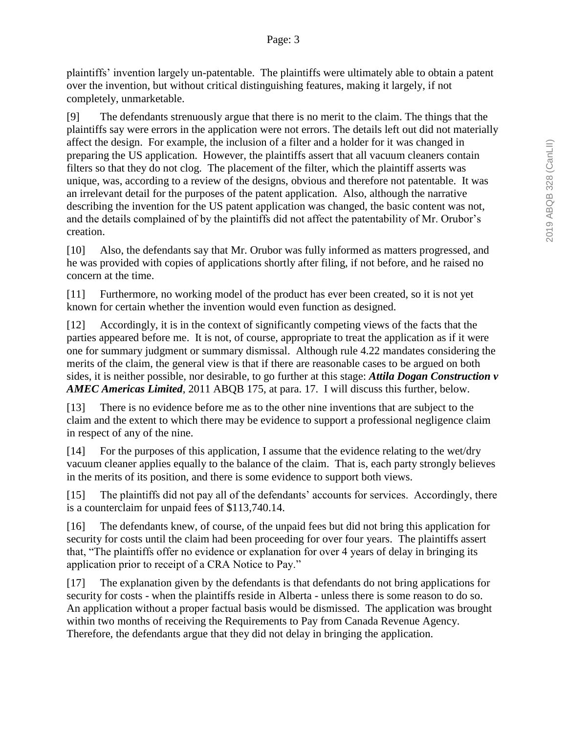plaintiffs' invention largely un-patentable. The plaintiffs were ultimately able to obtain a patent over the invention, but without critical distinguishing features, making it largely, if not completely, unmarketable.

[9] The defendants strenuously argue that there is no merit to the claim. The things that the plaintiffs say were errors in the application were not errors. The details left out did not materially affect the design. For example, the inclusion of a filter and a holder for it was changed in preparing the US application. However, the plaintiffs assert that all vacuum cleaners contain filters so that they do not clog. The placement of the filter, which the plaintiff asserts was unique, was, according to a review of the designs, obvious and therefore not patentable. It was an irrelevant detail for the purposes of the patent application. Also, although the narrative describing the invention for the US patent application was changed, the basic content was not, and the details complained of by the plaintiffs did not affect the patentability of Mr. Orubor's creation.

[10] Also, the defendants say that Mr. Orubor was fully informed as matters progressed, and he was provided with copies of applications shortly after filing, if not before, and he raised no concern at the time.

[11] Furthermore, no working model of the product has ever been created, so it is not yet known for certain whether the invention would even function as designed.

[12] Accordingly, it is in the context of significantly competing views of the facts that the parties appeared before me. It is not, of course, appropriate to treat the application as if it were one for summary judgment or summary dismissal. Although rule 4.22 mandates considering the merits of the claim, the general view is that if there are reasonable cases to be argued on both sides, it is neither possible, nor desirable, to go further at this stage: *Attila Dogan Construction v AMEC Americas Limited*, 2011 ABQB 175, at para. 17. I will discuss this further, below.

[13] There is no evidence before me as to the other nine inventions that are subject to the claim and the extent to which there may be evidence to support a professional negligence claim in respect of any of the nine.

[14] For the purposes of this application, I assume that the evidence relating to the wet/dry vacuum cleaner applies equally to the balance of the claim. That is, each party strongly believes in the merits of its position, and there is some evidence to support both views.

[15] The plaintiffs did not pay all of the defendants' accounts for services. Accordingly, there is a counterclaim for unpaid fees of \$113,740.14.

[16] The defendants knew, of course, of the unpaid fees but did not bring this application for security for costs until the claim had been proceeding for over four years. The plaintiffs assert that, "The plaintiffs offer no evidence or explanation for over 4 years of delay in bringing its application prior to receipt of a CRA Notice to Pay."

[17] The explanation given by the defendants is that defendants do not bring applications for security for costs - when the plaintiffs reside in Alberta - unless there is some reason to do so. An application without a proper factual basis would be dismissed. The application was brought within two months of receiving the Requirements to Pay from Canada Revenue Agency. Therefore, the defendants argue that they did not delay in bringing the application.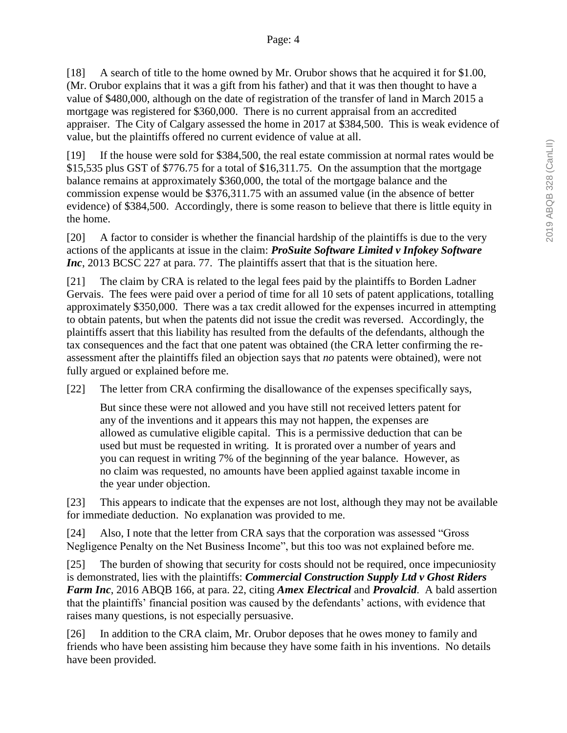[18] A search of title to the home owned by Mr. Orubor shows that he acquired it for \$1.00, (Mr. Orubor explains that it was a gift from his father) and that it was then thought to have a value of \$480,000, although on the date of registration of the transfer of land in March 2015 a mortgage was registered for \$360,000. There is no current appraisal from an accredited appraiser. The City of Calgary assessed the home in 2017 at \$384,500. This is weak evidence of value, but the plaintiffs offered no current evidence of value at all.

[19] If the house were sold for \$384,500, the real estate commission at normal rates would be \$15,535 plus GST of \$776.75 for a total of \$16,311.75. On the assumption that the mortgage balance remains at approximately \$360,000, the total of the mortgage balance and the commission expense would be \$376,311.75 with an assumed value (in the absence of better evidence) of \$384,500. Accordingly, there is some reason to believe that there is little equity in the home.

[20] A factor to consider is whether the financial hardship of the plaintiffs is due to the very actions of the applicants at issue in the claim: *ProSuite Software Limited v Infokey Software Inc*, 2013 BCSC 227 at para. 77. The plaintiffs assert that that is the situation here.

[21] The claim by CRA is related to the legal fees paid by the plaintiffs to Borden Ladner Gervais. The fees were paid over a period of time for all 10 sets of patent applications, totalling approximately \$350,000. There was a tax credit allowed for the expenses incurred in attempting to obtain patents, but when the patents did not issue the credit was reversed. Accordingly, the plaintiffs assert that this liability has resulted from the defaults of the defendants, although the tax consequences and the fact that one patent was obtained (the CRA letter confirming the reassessment after the plaintiffs filed an objection says that *no* patents were obtained), were not fully argued or explained before me.

[22] The letter from CRA confirming the disallowance of the expenses specifically says,

But since these were not allowed and you have still not received letters patent for any of the inventions and it appears this may not happen, the expenses are allowed as cumulative eligible capital. This is a permissive deduction that can be used but must be requested in writing. It is prorated over a number of years and you can request in writing 7% of the beginning of the year balance. However, as no claim was requested, no amounts have been applied against taxable income in the year under objection.

[23] This appears to indicate that the expenses are not lost, although they may not be available for immediate deduction. No explanation was provided to me.

[24] Also, I note that the letter from CRA says that the corporation was assessed "Gross Negligence Penalty on the Net Business Income", but this too was not explained before me.

[25] The burden of showing that security for costs should not be required, once impecuniosity is demonstrated, lies with the plaintiffs: *Commercial Construction Supply Ltd v Ghost Riders Farm Inc*, 2016 ABQB 166, at para. 22, citing *Amex Electrical* and *Provalcid*. A bald assertion that the plaintiffs' financial position was caused by the defendants' actions, with evidence that raises many questions, is not especially persuasive.

[26] In addition to the CRA claim, Mr. Orubor deposes that he owes money to family and friends who have been assisting him because they have some faith in his inventions. No details have been provided.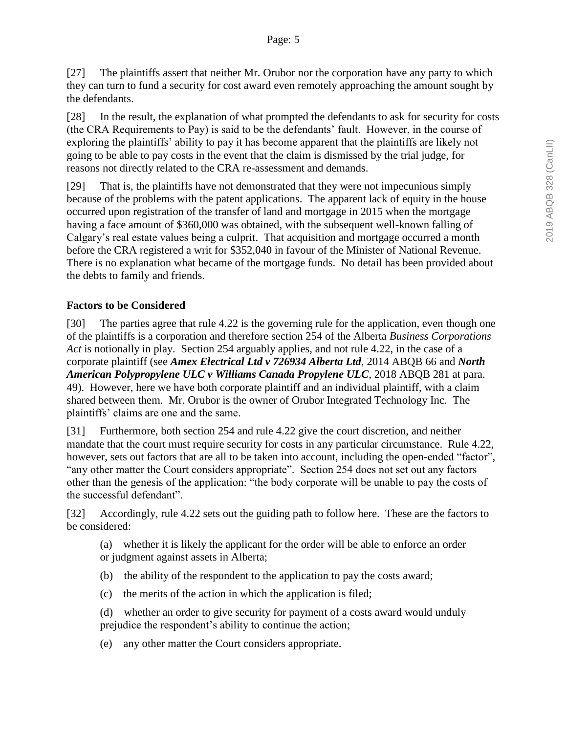[27] The plaintiffs assert that neither Mr. Orubor nor the corporation have any party to which they can turn to fund a security for cost award even remotely approaching the amount sought by the defendants.

[28] In the result, the explanation of what prompted the defendants to ask for security for costs (the CRA Requirements to Pay) is said to be the defendants' fault. However, in the course of exploring the plaintiffs' ability to pay it has become apparent that the plaintiffs are likely not going to be able to pay costs in the event that the claim is dismissed by the trial judge, for reasons not directly related to the CRA re-assessment and demands.

[29] That is, the plaintiffs have not demonstrated that they were not impecunious simply because of the problems with the patent applications. The apparent lack of equity in the house occurred upon registration of the transfer of land and mortgage in 2015 when the mortgage having a face amount of \$360,000 was obtained, with the subsequent well-known falling of Calgary's real estate values being a culprit. That acquisition and mortgage occurred a month before the CRA registered a writ for \$352,040 in favour of the Minister of National Revenue. There is no explanation what became of the mortgage funds. No detail has been provided about the debts to family and friends.

## **Factors to be Considered**

[30] The parties agree that rule 4.22 is the governing rule for the application, even though one of the plaintiffs is a corporation and therefore section 254 of the Alberta *Business Corporations Act* is notionally in play. Section 254 arguably applies, and not rule 4.22, in the case of a corporate plaintiff (see *Amex Electrical Ltd v 726934 Alberta Ltd*, 2014 ABQB 66 and *North American Polypropylene ULC v Williams Canada Propylene ULC*, 2018 ABQB 281 at para. 49). However, here we have both corporate plaintiff and an individual plaintiff, with a claim shared between them. Mr. Orubor is the owner of Orubor Integrated Technology Inc. The plaintiffs' claims are one and the same.

[31] Furthermore, both section 254 and rule 4.22 give the court discretion, and neither mandate that the court must require security for costs in any particular circumstance. Rule 4.22, however, sets out factors that are all to be taken into account, including the open-ended "factor", "any other matter the Court considers appropriate". Section 254 does not set out any factors other than the genesis of the application: "the body corporate will be unable to pay the costs of the successful defendant".

[32] Accordingly, rule 4.22 sets out the guiding path to follow here. These are the factors to be considered:

(a) whether it is likely the applicant for the order will be able to enforce an order or judgment against assets in Alberta;

- (b) the ability of the respondent to the application to pay the costs award;
- (c) the merits of the action in which the application is filed;
- (d) whether an order to give security for payment of a costs award would unduly prejudice the respondent's ability to continue the action;
- (e) any other matter the Court considers appropriate.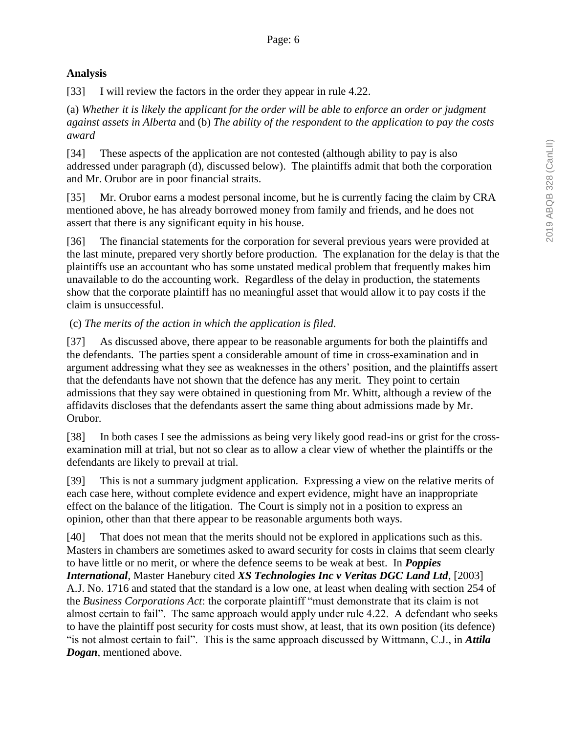## **Analysis**

[33] I will review the factors in the order they appear in rule 4.22.

(a) *Whether it is likely the applicant for the order will be able to enforce an order or judgment against assets in Alberta* and (b) *The ability of the respondent to the application to pay the costs award*

[34] These aspects of the application are not contested (although ability to pay is also addressed under paragraph (d), discussed below). The plaintiffs admit that both the corporation and Mr. Orubor are in poor financial straits.

[35] Mr. Orubor earns a modest personal income, but he is currently facing the claim by CRA mentioned above, he has already borrowed money from family and friends, and he does not assert that there is any significant equity in his house.

[36] The financial statements for the corporation for several previous years were provided at the last minute, prepared very shortly before production. The explanation for the delay is that the plaintiffs use an accountant who has some unstated medical problem that frequently makes him unavailable to do the accounting work. Regardless of the delay in production, the statements show that the corporate plaintiff has no meaningful asset that would allow it to pay costs if the claim is unsuccessful.

## (c) *The merits of the action in which the application is filed*.

[37] As discussed above, there appear to be reasonable arguments for both the plaintiffs and the defendants. The parties spent a considerable amount of time in cross-examination and in argument addressing what they see as weaknesses in the others' position, and the plaintiffs assert that the defendants have not shown that the defence has any merit. They point to certain admissions that they say were obtained in questioning from Mr. Whitt, although a review of the affidavits discloses that the defendants assert the same thing about admissions made by Mr. Orubor.

[38] In both cases I see the admissions as being very likely good read-ins or grist for the crossexamination mill at trial, but not so clear as to allow a clear view of whether the plaintiffs or the defendants are likely to prevail at trial.

[39] This is not a summary judgment application. Expressing a view on the relative merits of each case here, without complete evidence and expert evidence, might have an inappropriate effect on the balance of the litigation. The Court is simply not in a position to express an opinion, other than that there appear to be reasonable arguments both ways.

[40] That does not mean that the merits should not be explored in applications such as this. Masters in chambers are sometimes asked to award security for costs in claims that seem clearly to have little or no merit, or where the defence seems to be weak at best. In *Poppies International*, Master Hanebury cited *XS Technologies Inc v Veritas DGC Land Ltd*, [2003] A.J. No. 1716 and stated that the standard is a low one, at least when dealing with section 254 of the *Business Corporations Act*: the corporate plaintiff "must demonstrate that its claim is not almost certain to fail". The same approach would apply under rule 4.22. A defendant who seeks to have the plaintiff post security for costs must show, at least, that its own position (its defence) "is not almost certain to fail". This is the same approach discussed by Wittmann, C.J., in *Attila Dogan*, mentioned above.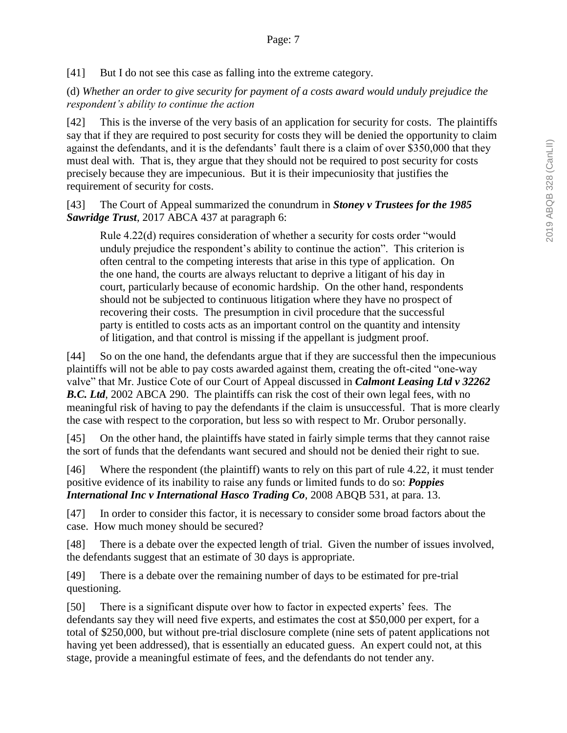[41] But I do not see this case as falling into the extreme category.

(d) *Whether an order to give security for payment of a costs award would unduly prejudice the respondent's ability to continue the action*

[42] This is the inverse of the very basis of an application for security for costs. The plaintiffs say that if they are required to post security for costs they will be denied the opportunity to claim against the defendants, and it is the defendants' fault there is a claim of over \$350,000 that they must deal with. That is, they argue that they should not be required to post security for costs precisely because they are impecunious. But it is their impecuniosity that justifies the requirement of security for costs.

[43] The Court of Appeal summarized the conundrum in *Stoney v Trustees for the 1985 Sawridge Trust*, 2017 ABCA 437 at paragraph 6:

Rule 4.22(d) requires consideration of whether a security for costs order "would unduly prejudice the respondent's ability to continue the action". This criterion is often central to the competing interests that arise in this type of application. On the one hand, the courts are always reluctant to deprive a litigant of his day in court, particularly because of economic hardship. On the other hand, respondents should not be subjected to continuous litigation where they have no prospect of recovering their costs. The presumption in civil procedure that the successful party is entitled to costs acts as an important control on the quantity and intensity of litigation, and that control is missing if the appellant is judgment proof.

[44] So on the one hand, the defendants argue that if they are successful then the impecunious plaintiffs will not be able to pay costs awarded against them, creating the oft-cited "one-way valve" that Mr. Justice Cote of our Court of Appeal discussed in *Calmont Leasing Ltd v 32262*  **B.C. Ltd**, 2002 ABCA 290. The plaintiffs can risk the cost of their own legal fees, with no meaningful risk of having to pay the defendants if the claim is unsuccessful. That is more clearly the case with respect to the corporation, but less so with respect to Mr. Orubor personally.

[45] On the other hand, the plaintiffs have stated in fairly simple terms that they cannot raise the sort of funds that the defendants want secured and should not be denied their right to sue.

[46] Where the respondent (the plaintiff) wants to rely on this part of rule 4.22, it must tender positive evidence of its inability to raise any funds or limited funds to do so: *Poppies International Inc v International Hasco Trading Co*, 2008 ABQB 531, at para. 13.

[47] In order to consider this factor, it is necessary to consider some broad factors about the case. How much money should be secured?

[48] There is a debate over the expected length of trial. Given the number of issues involved, the defendants suggest that an estimate of 30 days is appropriate.

[49] There is a debate over the remaining number of days to be estimated for pre-trial questioning.

[50] There is a significant dispute over how to factor in expected experts' fees. The defendants say they will need five experts, and estimates the cost at \$50,000 per expert, for a total of \$250,000, but without pre-trial disclosure complete (nine sets of patent applications not having yet been addressed), that is essentially an educated guess. An expert could not, at this stage, provide a meaningful estimate of fees, and the defendants do not tender any.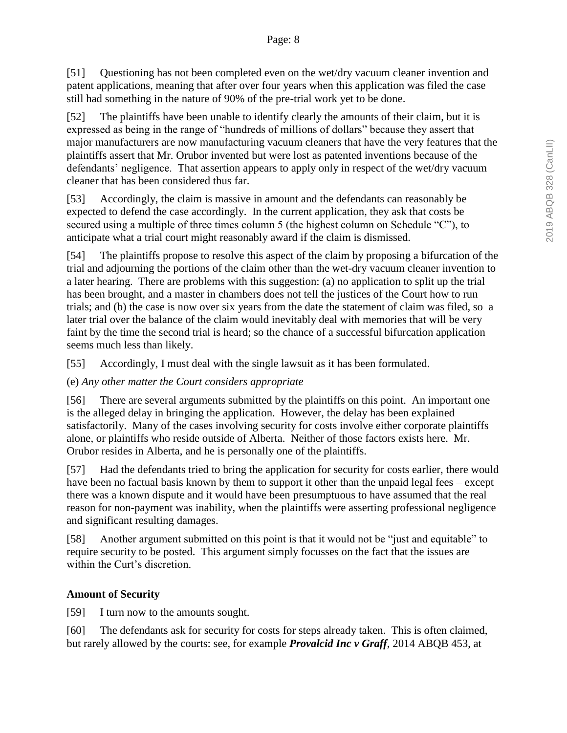[51] Questioning has not been completed even on the wet/dry vacuum cleaner invention and patent applications, meaning that after over four years when this application was filed the case still had something in the nature of 90% of the pre-trial work yet to be done.

[52] The plaintiffs have been unable to identify clearly the amounts of their claim, but it is expressed as being in the range of "hundreds of millions of dollars" because they assert that major manufacturers are now manufacturing vacuum cleaners that have the very features that the plaintiffs assert that Mr. Orubor invented but were lost as patented inventions because of the defendants' negligence. That assertion appears to apply only in respect of the wet/dry vacuum cleaner that has been considered thus far.

[53] Accordingly, the claim is massive in amount and the defendants can reasonably be expected to defend the case accordingly. In the current application, they ask that costs be secured using a multiple of three times column 5 (the highest column on Schedule "C"), to anticipate what a trial court might reasonably award if the claim is dismissed.

[54] The plaintiffs propose to resolve this aspect of the claim by proposing a bifurcation of the trial and adjourning the portions of the claim other than the wet-dry vacuum cleaner invention to a later hearing. There are problems with this suggestion: (a) no application to split up the trial has been brought, and a master in chambers does not tell the justices of the Court how to run trials; and (b) the case is now over six years from the date the statement of claim was filed, so a later trial over the balance of the claim would inevitably deal with memories that will be very faint by the time the second trial is heard; so the chance of a successful bifurcation application seems much less than likely.

[55] Accordingly, I must deal with the single lawsuit as it has been formulated.

## (e) *Any other matter the Court considers appropriate*

[56] There are several arguments submitted by the plaintiffs on this point. An important one is the alleged delay in bringing the application. However, the delay has been explained satisfactorily. Many of the cases involving security for costs involve either corporate plaintiffs alone, or plaintiffs who reside outside of Alberta. Neither of those factors exists here. Mr. Orubor resides in Alberta, and he is personally one of the plaintiffs.

[57] Had the defendants tried to bring the application for security for costs earlier, there would have been no factual basis known by them to support it other than the unpaid legal fees – except there was a known dispute and it would have been presumptuous to have assumed that the real reason for non-payment was inability, when the plaintiffs were asserting professional negligence and significant resulting damages.

[58] Another argument submitted on this point is that it would not be "just and equitable" to require security to be posted. This argument simply focusses on the fact that the issues are within the Curt's discretion.

# **Amount of Security**

[59] I turn now to the amounts sought.

[60] The defendants ask for security for costs for steps already taken. This is often claimed, but rarely allowed by the courts: see, for example *Provalcid Inc v Graff*, 2014 ABQB 453, at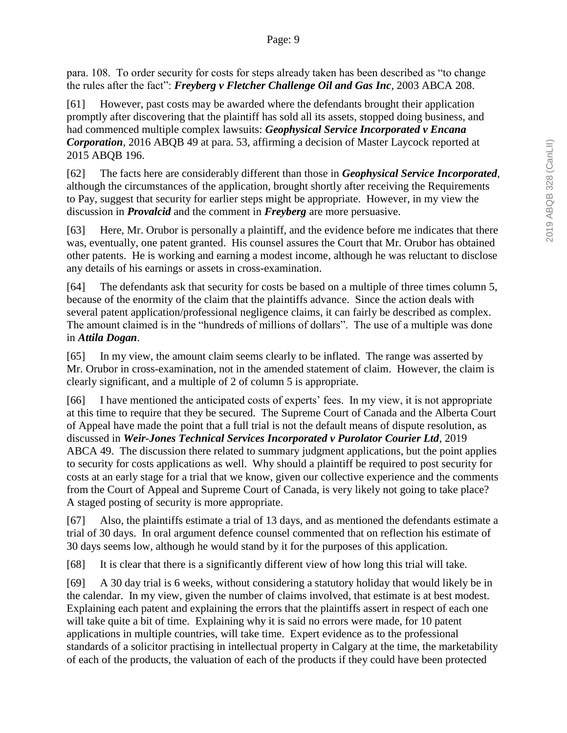para. 108. To order security for costs for steps already taken has been described as "to change the rules after the fact": *Freyberg v Fletcher Challenge Oil and Gas Inc*, 2003 ABCA 208.

[61] However, past costs may be awarded where the defendants brought their application promptly after discovering that the plaintiff has sold all its assets, stopped doing business, and had commenced multiple complex lawsuits: *Geophysical Service Incorporated v Encana Corporation*, 2016 ABQB 49 at para. 53, affirming a decision of Master Laycock reported at 2015 ABQB 196.

[62] The facts here are considerably different than those in *Geophysical Service Incorporated*, although the circumstances of the application, brought shortly after receiving the Requirements to Pay, suggest that security for earlier steps might be appropriate. However, in my view the discussion in *Provalcid* and the comment in *Freyberg* are more persuasive.

[63] Here, Mr. Orubor is personally a plaintiff, and the evidence before me indicates that there was, eventually, one patent granted. His counsel assures the Court that Mr. Orubor has obtained other patents. He is working and earning a modest income, although he was reluctant to disclose any details of his earnings or assets in cross-examination.

[64] The defendants ask that security for costs be based on a multiple of three times column 5, because of the enormity of the claim that the plaintiffs advance. Since the action deals with several patent application/professional negligence claims, it can fairly be described as complex. The amount claimed is in the "hundreds of millions of dollars". The use of a multiple was done in *Attila Dogan*.

[65] In my view, the amount claim seems clearly to be inflated. The range was asserted by Mr. Orubor in cross-examination, not in the amended statement of claim. However, the claim is clearly significant, and a multiple of 2 of column 5 is appropriate.

[66] I have mentioned the anticipated costs of experts' fees. In my view, it is not appropriate at this time to require that they be secured. The Supreme Court of Canada and the Alberta Court of Appeal have made the point that a full trial is not the default means of dispute resolution, as discussed in *Weir-Jones Technical Services Incorporated v Purolator Courier Ltd*, 2019 ABCA 49. The discussion there related to summary judgment applications, but the point applies to security for costs applications as well. Why should a plaintiff be required to post security for costs at an early stage for a trial that we know, given our collective experience and the comments from the Court of Appeal and Supreme Court of Canada, is very likely not going to take place? A staged posting of security is more appropriate.

[67] Also, the plaintiffs estimate a trial of 13 days, and as mentioned the defendants estimate a trial of 30 days. In oral argument defence counsel commented that on reflection his estimate of 30 days seems low, although he would stand by it for the purposes of this application.

[68] It is clear that there is a significantly different view of how long this trial will take.

[69] A 30 day trial is 6 weeks, without considering a statutory holiday that would likely be in the calendar. In my view, given the number of claims involved, that estimate is at best modest. Explaining each patent and explaining the errors that the plaintiffs assert in respect of each one will take quite a bit of time. Explaining why it is said no errors were made, for 10 patent applications in multiple countries, will take time. Expert evidence as to the professional standards of a solicitor practising in intellectual property in Calgary at the time, the marketability of each of the products, the valuation of each of the products if they could have been protected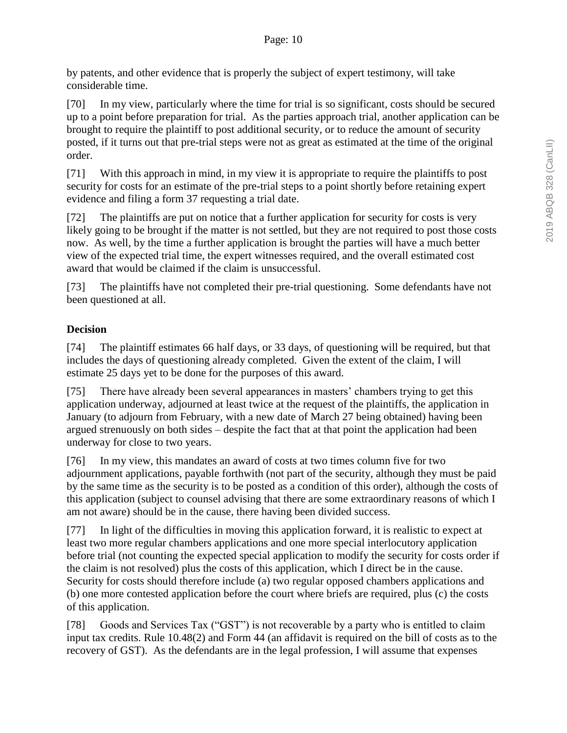by patents, and other evidence that is properly the subject of expert testimony, will take considerable time.

[70] In my view, particularly where the time for trial is so significant, costs should be secured up to a point before preparation for trial. As the parties approach trial, another application can be brought to require the plaintiff to post additional security, or to reduce the amount of security posted, if it turns out that pre-trial steps were not as great as estimated at the time of the original order.

[71] With this approach in mind, in my view it is appropriate to require the plaintiffs to post security for costs for an estimate of the pre-trial steps to a point shortly before retaining expert evidence and filing a form 37 requesting a trial date.

[72] The plaintiffs are put on notice that a further application for security for costs is very likely going to be brought if the matter is not settled, but they are not required to post those costs now. As well, by the time a further application is brought the parties will have a much better view of the expected trial time, the expert witnesses required, and the overall estimated cost award that would be claimed if the claim is unsuccessful.

[73] The plaintiffs have not completed their pre-trial questioning. Some defendants have not been questioned at all.

## **Decision**

[74] The plaintiff estimates 66 half days, or 33 days, of questioning will be required, but that includes the days of questioning already completed. Given the extent of the claim, I will estimate 25 days yet to be done for the purposes of this award.

[75] There have already been several appearances in masters' chambers trying to get this application underway, adjourned at least twice at the request of the plaintiffs, the application in January (to adjourn from February, with a new date of March 27 being obtained) having been argued strenuously on both sides – despite the fact that at that point the application had been underway for close to two years.

[76] In my view, this mandates an award of costs at two times column five for two adjournment applications, payable forthwith (not part of the security, although they must be paid by the same time as the security is to be posted as a condition of this order), although the costs of this application (subject to counsel advising that there are some extraordinary reasons of which I am not aware) should be in the cause, there having been divided success.

[77] In light of the difficulties in moving this application forward, it is realistic to expect at least two more regular chambers applications and one more special interlocutory application before trial (not counting the expected special application to modify the security for costs order if the claim is not resolved) plus the costs of this application, which I direct be in the cause. Security for costs should therefore include (a) two regular opposed chambers applications and (b) one more contested application before the court where briefs are required, plus (c) the costs of this application.

[78] Goods and Services Tax ("GST") is not recoverable by a party who is entitled to claim input tax credits. Rule 10.48(2) and Form 44 (an affidavit is required on the bill of costs as to the recovery of GST). As the defendants are in the legal profession, I will assume that expenses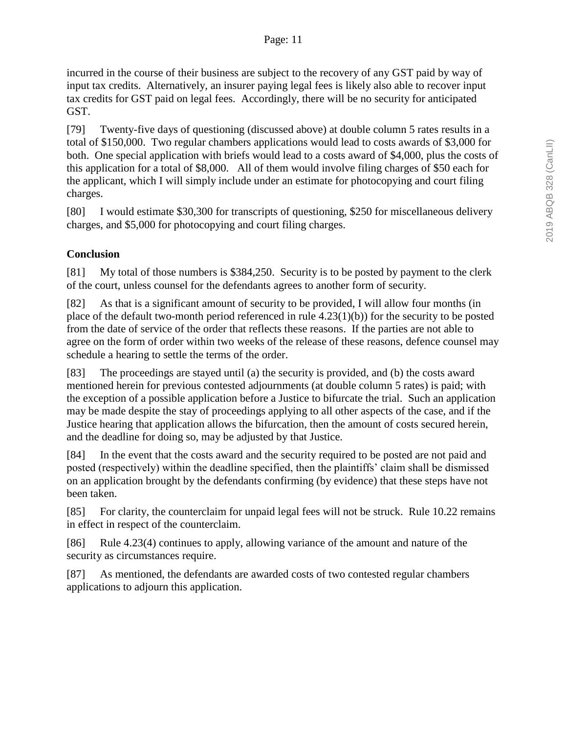incurred in the course of their business are subject to the recovery of any GST paid by way of input tax credits. Alternatively, an insurer paying legal fees is likely also able to recover input tax credits for GST paid on legal fees. Accordingly, there will be no security for anticipated GST.

[79] Twenty-five days of questioning (discussed above) at double column 5 rates results in a total of \$150,000. Two regular chambers applications would lead to costs awards of \$3,000 for both. One special application with briefs would lead to a costs award of \$4,000, plus the costs of this application for a total of \$8,000. All of them would involve filing charges of \$50 each for the applicant, which I will simply include under an estimate for photocopying and court filing charges.

[80] I would estimate \$30,300 for transcripts of questioning, \$250 for miscellaneous delivery charges, and \$5,000 for photocopying and court filing charges.

# **Conclusion**

[81] My total of those numbers is \$384,250. Security is to be posted by payment to the clerk of the court, unless counsel for the defendants agrees to another form of security.

[82] As that is a significant amount of security to be provided, I will allow four months (in place of the default two-month period referenced in rule 4.23(1)(b)) for the security to be posted from the date of service of the order that reflects these reasons. If the parties are not able to agree on the form of order within two weeks of the release of these reasons, defence counsel may schedule a hearing to settle the terms of the order.

[83] The proceedings are stayed until (a) the security is provided, and (b) the costs award mentioned herein for previous contested adjournments (at double column 5 rates) is paid; with the exception of a possible application before a Justice to bifurcate the trial. Such an application may be made despite the stay of proceedings applying to all other aspects of the case, and if the Justice hearing that application allows the bifurcation, then the amount of costs secured herein, and the deadline for doing so, may be adjusted by that Justice.

[84] In the event that the costs award and the security required to be posted are not paid and posted (respectively) within the deadline specified, then the plaintiffs' claim shall be dismissed on an application brought by the defendants confirming (by evidence) that these steps have not been taken.

[85] For clarity, the counterclaim for unpaid legal fees will not be struck. Rule 10.22 remains in effect in respect of the counterclaim.

[86] Rule 4.23(4) continues to apply, allowing variance of the amount and nature of the security as circumstances require.

[87] As mentioned, the defendants are awarded costs of two contested regular chambers applications to adjourn this application.